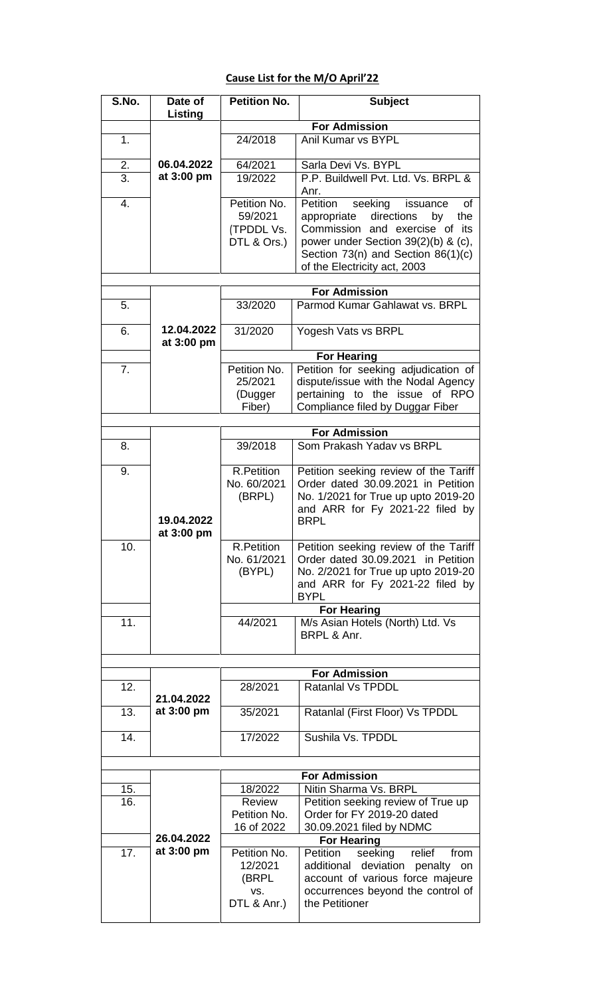## **Cause List for the M/O April'22**

| S.No. | Date of<br>Listing       | <b>Petition No.</b>  | <b>Subject</b>                                                     |  |
|-------|--------------------------|----------------------|--------------------------------------------------------------------|--|
|       |                          |                      | <b>For Admission</b>                                               |  |
| 1.    |                          | 24/2018              | Anil Kumar vs BYPL                                                 |  |
|       |                          |                      |                                                                    |  |
| 2.    | 06.04.2022<br>at 3:00 pm | 64/2021              | Sarla Devi Vs. BYPL                                                |  |
| 3.    |                          | 19/2022              | P.P. Buildwell Pvt. Ltd. Vs. BRPL &<br>Anr.                        |  |
| 4.    |                          | Petition No.         | Petition<br>seeking<br>issuance<br>οf                              |  |
|       |                          | 59/2021              | directions<br>appropriate<br>the<br>by                             |  |
|       |                          | (TPDDL Vs.           | Commission and exercise of its                                     |  |
|       |                          | DTL & Ors.)          | power under Section 39(2)(b) & (c),                                |  |
|       |                          |                      | Section 73(n) and Section 86(1)(c)<br>of the Electricity act, 2003 |  |
|       |                          |                      |                                                                    |  |
|       |                          |                      | <b>For Admission</b>                                               |  |
| 5.    |                          | 33/2020              | Parmod Kumar Gahlawat vs. BRPL                                     |  |
| 6.    | 12.04.2022               | 31/2020              | Yogesh Vats vs BRPL                                                |  |
|       | at 3:00 pm               |                      | <b>For Hearing</b>                                                 |  |
| 7.    |                          | Petition No.         | Petition for seeking adjudication of                               |  |
|       |                          | 25/2021              | dispute/issue with the Nodal Agency                                |  |
|       |                          | (Dugger              | pertaining to the issue of RPO                                     |  |
|       |                          | Fiber)               | Compliance filed by Duggar Fiber                                   |  |
|       |                          |                      |                                                                    |  |
|       |                          |                      | <b>For Admission</b>                                               |  |
| 8.    |                          | 39/2018              | Som Prakash Yadav vs BRPL                                          |  |
| 9.    |                          | <b>R.Petition</b>    | Petition seeking review of the Tariff                              |  |
|       |                          | No. 60/2021          | Order dated 30.09.2021 in Petition                                 |  |
|       |                          | (BRPL)               | No. 1/2021 for True up upto 2019-20                                |  |
|       | 19.04.2022               |                      | and ARR for Fy 2021-22 filed by<br><b>BRPL</b>                     |  |
|       | at 3:00 pm               |                      |                                                                    |  |
| 10.   |                          | <b>R.Petition</b>    | Petition seeking review of the Tariff                              |  |
|       |                          | No. 61/2021          | Order dated 30.09.2021 in Petition                                 |  |
|       |                          | (BYPL)               | No. 2/2021 for True up upto 2019-20                                |  |
|       |                          |                      | and ARR for Fy 2021-22 filed by<br><b>BYPL</b>                     |  |
|       |                          |                      | <b>For Hearing</b>                                                 |  |
| 11.   |                          | 44/2021              | M/s Asian Hotels (North) Ltd. Vs                                   |  |
|       |                          |                      | BRPL & Anr.                                                        |  |
|       |                          |                      |                                                                    |  |
|       |                          | <b>For Admission</b> |                                                                    |  |
| 12.   |                          | 28/2021              | <b>Ratanial Vs TPDDL</b>                                           |  |
|       | 21.04.2022               |                      |                                                                    |  |
| 13.   | at 3:00 pm               | 35/2021              | Ratanlal (First Floor) Vs TPDDL                                    |  |
| 14.   |                          | 17/2022              | Sushila Vs. TPDDL                                                  |  |
|       |                          |                      |                                                                    |  |
|       |                          |                      |                                                                    |  |
| 15.   |                          | 18/2022              | <b>For Admission</b><br>Nitin Sharma Vs. BRPL                      |  |
| 16.   |                          | Review               | Petition seeking review of True up                                 |  |
|       |                          | Petition No.         | Order for FY 2019-20 dated                                         |  |
|       |                          | 16 of 2022           | 30.09.2021 filed by NDMC                                           |  |
|       | 26.04.2022               |                      | <b>For Hearing</b>                                                 |  |
| 17.   | at 3:00 pm               | Petition No.         | Petition<br>seeking<br>relief<br>from                              |  |
|       |                          | 12/2021              | deviation penalty<br>additional<br>on                              |  |
|       |                          | (BRPL                | account of various force majeure                                   |  |
|       |                          | VS.<br>DTL & Anr.)   | occurrences beyond the control of<br>the Petitioner                |  |
|       |                          |                      |                                                                    |  |